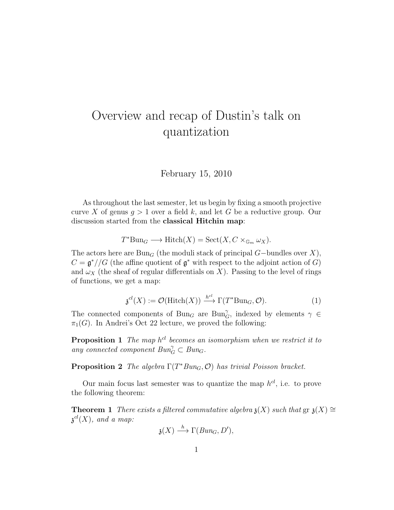## Overview and recap of Dustin's talk on quantization

February 15, 2010

As throughout the last semester, let us begin by fixing a smooth projective curve X of genus  $q > 1$  over a field k, and let G be a reductive group. Our discussion started from the classical Hitchin map:

$$
T^* \text{Bun}_G \longrightarrow \text{Hitch}(X) = \text{Sect}(X, C \times_{\mathbb{G}_m} \omega_X).
$$

The actors here are Bun<sub>G</sub> (the moduli stack of principal  $G$ –bundles over X),  $C = \mathfrak{g}^*//G$  (the affine quotient of  $\mathfrak{g}^*$  with respect to the adjoint action of G) and  $\omega_X$  (the sheaf of regular differentials on X). Passing to the level of rings of functions, we get a map:

$$
\mathfrak{z}^{cl}(X) := \mathcal{O}(\text{Hitch}(X)) \xrightarrow{h^{cl}} \Gamma(T^* \text{Bun}_G, \mathcal{O}). \tag{1}
$$

The connected components of  $Bun_G$  are  $Bun_G^{\gamma}$ , indexed by elements  $\gamma \in$  $\pi_1(G)$ . In Andrei's Oct 22 lecture, we proved the following:

**Proposition 1** The map  $h^{cl}$  becomes an isomorphism when we restrict it to any connected component  $Bun_G^{\gamma} \subset Bun_G$ .

**Proposition 2** The algebra  $\Gamma(T^*Bun_G, \mathcal{O})$  has trivial Poisson bracket.

Our main focus last semester was to quantize the map  $h^{cl}$ , i.e. to prove the following theorem:

**Theorem 1** There exists a filtered commutative algebra  $\mathfrak{z}(X)$  such that  $\operatorname{gr} \mathfrak{z}(X) \cong$  $\mathfrak z^{cl}(X),$  and a map:

$$
\mathfrak{z}(X) \stackrel{h}{\longrightarrow} \Gamma(Bun_G, D'),
$$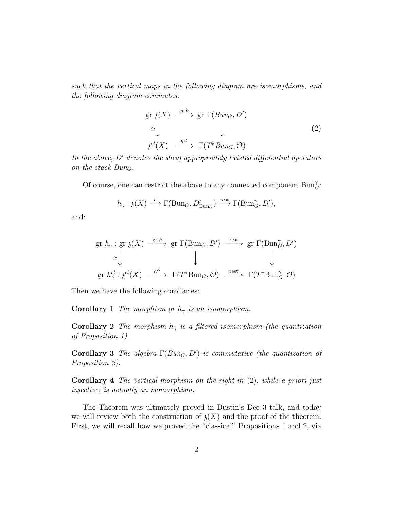such that the vertical maps in the following diagram are isomorphisms, and the following diagram commutes:

$$
\begin{aligned}\n\text{gr } \mathfrak{z}(X) & \xrightarrow{gr \, h} \text{gr } \Gamma(Bun_G, D') \\
& \cong \bigcup_{\mathfrak{z}^{cl}(X)} \xrightarrow{h^{cl}} \Gamma(T^*Bun_G, \mathcal{O})\n\end{aligned} \tag{2}
$$

In the above,  $D'$  denotes the sheaf appropriately twisted differential operators on the stack  $Bun_G$ .

Of course, one can restrict the above to any connexted component  $\operatorname{Bun}_G^\gamma$  :

$$
h_{\gamma}: \mathfrak{z}(X) \xrightarrow{h} \Gamma(\mathrm{Bun}_G, D'_{\mathrm{Bun}_G}) \xrightarrow{\mathrm{rest}} \Gamma(\mathrm{Bun}_G^{\gamma}, D'),
$$

and:

$$
\begin{array}{ccc}\n\text{gr } h_{\gamma} : \text{gr } \mathfrak{z}(X) \xrightarrow{\text{gr } h} \text{gr } \Gamma(\text{Bun}_G, D') \xrightarrow{\text{rest}} \text{gr } \Gamma(\text{Bun}_G^{\gamma}, D') \\
\cong \downarrow & \downarrow & \downarrow \\
\text{gr } h_{\gamma}^{cl} : \mathfrak{z}^{cl}(X) \xrightarrow{h^{cl}} \Gamma(T^* \text{Bun}_G, \mathcal{O}) \xrightarrow{\text{rest}} \Gamma(T^* \text{Bun}_G^{\gamma}, \mathcal{O})\n\end{array}
$$

Then we have the following corollaries:

**Corollary 1** The morphism gr  $h_{\gamma}$  is an isomorphism.

**Corollary 2** The morphism  $h_{\gamma}$  is a filtered isomorphism (the quantization of Proposition 1).

Corollary 3 The algebra  $\Gamma(Bun_G, D')$  is commutative (the quantization of Proposition 2).

**Corollary 4** The vertical morphism on the right in  $(2)$ , while a priori just injective, is actually an isomorphism.

The Theorem was ultimately proved in Dustin's Dec 3 talk, and today we will review both the construction of  $\mathfrak{z}(X)$  and the proof of the theorem. First, we will recall how we proved the "classical" Propositions 1 and 2, via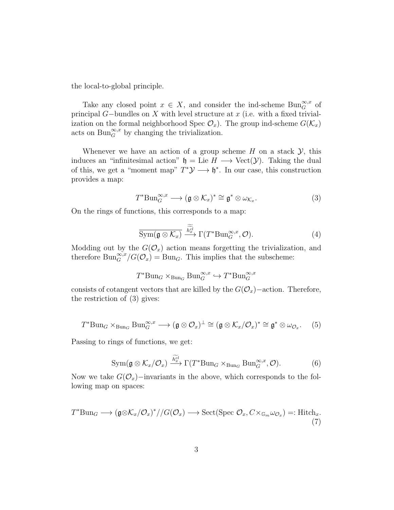the local-to-global principle.

Take any closed point  $x \in X$ , and consider the ind-scheme  $\text{Bun}_G^{\infty,x}$  of principal  $G$ -bundles on X with level structure at  $x$  (i.e. with a fixed trivialization on the formal neighborhood Spec  $\mathcal{O}_x$ ). The group ind-scheme  $G(\mathcal{K}_x)$ acts on  $\text{Bun}_G^{\infty,x}$  by changing the trivialization.

Whenever we have an action of a group scheme  $H$  on a stack  $\mathcal{Y}$ , this induces an "infinitesimal action"  $\mathfrak{h} = \text{Lie } H \longrightarrow \text{Vect}(\mathcal{Y})$ . Taking the dual of this, we get a "moment map"  $T^*\mathcal{Y} \longrightarrow \mathfrak{h}^*$ . In our case, this construction provides a map:

$$
T^* \text{Bun}_{G}^{\infty,x} \longrightarrow (\mathfrak{g} \otimes \mathcal{K}_x)^* \cong \mathfrak{g}^* \otimes \omega_{\mathcal{K}_x}.
$$
 (3)

On the rings of functions, this corresponds to a map:

$$
\overline{\mathrm{Sym}(\mathfrak{g}\otimes\mathcal{K}_x)}\xrightarrow{\widetilde{h}_x^{\widetilde{c}l}}\Gamma(T^*\mathrm{Bun}_G^{\infty,x},\mathcal{O}).\tag{4}
$$

Modding out by the  $G(\mathcal{O}_x)$  action means forgetting the trivialization, and therefore  $\text{Bun}_{G}^{\infty,x}/G(\mathcal{O}_x) = \text{Bun}_G$ . This implies that the subscheme:

$$
T^*{\mathrm{Bun}_G}\times_{\mathrm{Bun}_G}{\mathrm{Bun}_G^{\infty,x}}\hookrightarrow T^*{\mathrm{Bun}_G^{\infty,x}}
$$

consists of cotangent vectors that are killed by the  $G(\mathcal{O}_x)$ −action. Therefore, the restriction of (3) gives:

$$
T^* \text{Bun}_G \times_{\text{Bun}_G} \text{Bun}_G^{\infty, x} \longrightarrow (\mathfrak{g} \otimes \mathcal{O}_x)^{\perp} \cong (\mathfrak{g} \otimes \mathcal{K}_x/\mathcal{O}_x)^* \cong \mathfrak{g}^* \otimes \omega_{\mathcal{O}_x}.
$$
 (5)

Passing to rings of functions, we get:

$$
\operatorname{Sym}(\mathfrak{g}\otimes\mathcal{K}_x/\mathcal{O}_x)\xrightarrow{\widetilde{h_x^{cl}}}\Gamma(T^*\mathrm{Bun}_G\times_{\mathrm{Bun}_G}\mathrm{Bun}_G^{\infty,x},\mathcal{O}).\tag{6}
$$

Now we take  $G(\mathcal{O}_x)$ −invariants in the above, which corresponds to the following map on spaces:

$$
T^* \text{Bun}_G \longrightarrow (\mathfrak{g} \otimes \mathcal{K}_x/\mathcal{O}_x)^*/\!/ G(\mathcal{O}_x) \longrightarrow \text{Sect}(\text{Spec } \mathcal{O}_x, C \times_{\mathbb{G}_m} \omega_{\mathcal{O}_x}) =: \text{Hitch}_x. \tag{7}
$$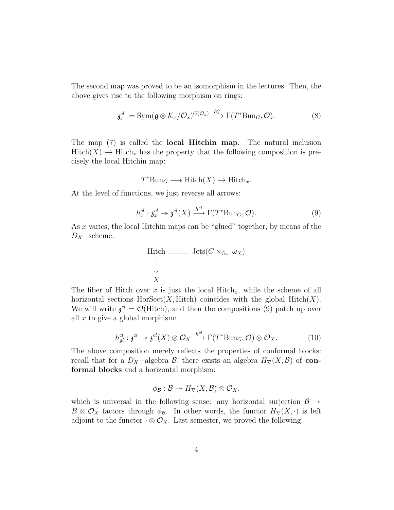The second map was proved to be an isomorphism in the lectures. Then, the above gives rise to the following morphism on rings:

$$
\mathfrak{z}_x^{cl} := \text{Sym}(\mathfrak{g} \otimes \mathcal{K}_x/\mathcal{O}_x)^{G(\mathcal{O}_x)} \xrightarrow{h_x^{cl}} \Gamma(T^* \text{Bun}_G, \mathcal{O}). \tag{8}
$$

The map (7) is called the local Hitchin map. The natural inclusion  $Hitch(X) \hookrightarrow Hitch_x$  has the property that the following composition is precisely the local Hitchin map:

$$
T^*Bun_G \longrightarrow \text{Hitch}(X) \hookrightarrow \text{Hitch}_x.
$$

At the level of functions, we just reverse all arrows:

$$
h_x^{cl}: \mathfrak{z}_x^{cl} \to \mathfrak{z}^{cl}(X) \xrightarrow{h^{cl}} \Gamma(T^* \text{Bun}_G, \mathcal{O}). \tag{9}
$$

As x varies, the local Hitchin maps can be "glued" together, by means of the  $D_X$  – scheme:

Hitch 
$$
\underline{\hspace{1cm}}\underline{\hspace{1cm}}\text{Jets}(C\times_{\mathbb{G}_m}\omega_X)
$$

\n $\downarrow$ 

\n $X$ 

The fiber of Hitch over x is just the local Hitch<sub>x</sub>, while the scheme of all horizontal sections  $HorSect(X, Hitch)$  coincides with the global  $Hitch(X)$ . We will write  $\mathfrak{z}^{cl} = \mathcal{O}(\text{Hitch})$ , and then the compositions (9) patch up over all  $x$  to give a global morphism:

$$
h_{gl}^{cl}: \mathfrak{z}^{cl} \to \mathfrak{z}^{cl}(X) \otimes \mathcal{O}_X \xrightarrow{h^{cl}} \Gamma(T^* \text{Bun}_G, \mathcal{O}) \otimes \mathcal{O}_X. \tag{10}
$$

The above composition merely reflects the properties of conformal blocks: recall that for a  $D_X$ -algebra  $\mathcal{B}$ , there exists an algebra  $H_{\nabla}(X,\mathcal{B})$  of conformal blocks and a horizontal morphism:

$$
\phi_{\mathcal{B}}:\mathcal{B}\twoheadrightarrow H_{\nabla}(X,\mathcal{B})\otimes\mathcal{O}_X,
$$

which is universal in the following sense: any horizontal surjection  $\mathcal{B} \rightarrow$  $B \otimes \mathcal{O}_X$  factors through  $\phi_B$ . In other words, the functor  $H_{\nabla}(X, \cdot)$  is left adjoint to the functor  $\cdot \otimes \mathcal{O}_X$ . Last semester, we proved the following: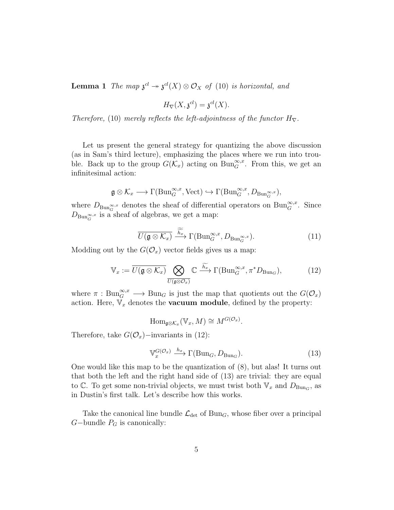**Lemma 1** The map  $\mathfrak{z}^{cl} \to \mathfrak{z}^{cl}(X) \otimes \mathcal{O}_X$  of (10) is horizontal, and

$$
H_{\nabla}(X, \mathfrak{z}^{cl}) = \mathfrak{z}^{cl}(X).
$$

Therefore, (10) merely reflects the left-adjointness of the functor  $H_{\nabla}$ .

Let us present the general strategy for quantizing the above discussion (as in Sam's third lecture), emphasizing the places where we run into trouble. Back up to the group  $G(\mathcal{K}_x)$  acting on  $\text{Bun}_G^{\infty,x}$ . From this, we get an infinitesimal action:

$$
\mathfrak{g} \otimes \mathcal{K}_x \longrightarrow \Gamma(\mathrm{Bun}_G^{\infty,x},\mathrm{Vect}) \hookrightarrow \Gamma(\mathrm{Bun}_G^{\infty,x},D_{\mathrm{Bun}_G^{\infty,x}}),
$$

where  $D_{\text{Bun}_G^{\infty,x}}$  denotes the sheaf of differential operators on  $\text{Bun}_G^{\infty,x}$ . Since  $D_{\text{Bun}_G^{\infty,x}}$  is a sheaf of algebras, we get a map:

$$
\overline{U(\mathfrak{g}\otimes\mathcal{K}_x)}\xrightarrow{\widetilde{h_x}}\Gamma(\mathrm{Bun}_G^{\infty,x},D_{\mathrm{Bun}_G^{\infty,x}}). \tag{11}
$$

Modding out by the  $G(\mathcal{O}_x)$  vector fields gives us a map:

$$
\mathbb{V}_x := \overline{U(\mathfrak{g} \otimes \mathcal{K}_x)} \bigotimes_{\overline{U(\mathfrak{g} \otimes \mathcal{O}_x)}} \mathbb{C} \xrightarrow{\widetilde{h_x}} \Gamma(\mathrm{Bun}_G^{\infty,x}, \pi^* D_{\mathrm{Bun}_G}), \tag{12}
$$

where  $\pi : Bun_G^{\infty,x}\longrightarrow Bun_G$  is just the map that quotients out the  $G(\mathcal{O}_x)$ action. Here,  $V_x$  denotes the **vacuum module**, defined by the property:

 $\text{Hom}_{\mathfrak{g}\otimes\mathcal{K}_x}(\mathbb{V}_x, M) \cong M^{G(\mathcal{O}_x)}.$ 

Therefore, take  $G(\mathcal{O}_x)$ −invariants in (12):

$$
\mathbb{V}_x^{G(\mathcal{O}_x)} \xrightarrow{h_x} \Gamma(\text{Bun}_G, D_{\text{Bun}_G}).\tag{13}
$$

One would like this map to be the quantization of (8), but alas! It turns out that both the left and the right hand side of (13) are trivial: they are equal to C. To get some non-trivial objects, we must twist both  $V_x$  and  $D_{Bun_G}$ , as in Dustin's first talk. Let's describe how this works.

Take the canonical line bundle  $\mathcal{L}_{\text{det}}$  of Bun<sub>G</sub>, whose fiber over a principal  $G$ −bundle  $P_G$  is canonically: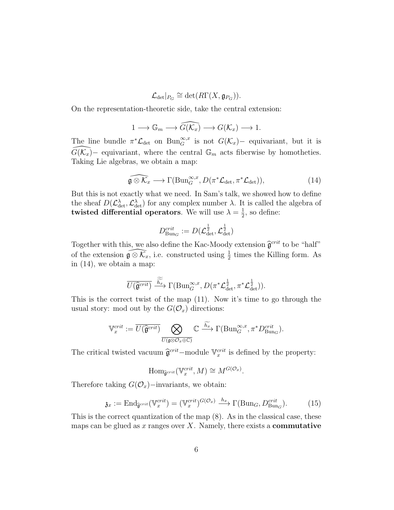$\mathcal{L}_{\text{det}}|_{P_G} \cong \text{det}(R\Gamma(X,\mathfrak{g}_{P_G})).$ 

On the representation-theoretic side, take the central extension:

$$
1 \longrightarrow \mathbb{G}_m \longrightarrow \widehat{G(\mathcal{K}_x)} \longrightarrow G(\mathcal{K}_x) \longrightarrow 1.
$$

The line bundle  $\pi^* \mathcal{L}_{\text{det}}$  on  $\text{Bun}_{G}^{\infty,x}$  is not  $G(\mathcal{K}_x)$  – equivariant, but it is  $\widehat{G(\mathcal{K}_x)}$ – equivariant, where the central  $\mathbb{G}_m$  acts fiberwise by homotheties. Taking Lie algebras, we obtain a map:

$$
\widehat{\mathfrak{g}\otimes\mathcal{K}_x}\longrightarrow \Gamma(\mathrm{Bun}_G^{\infty,x},D(\pi^*\mathcal{L}_{\mathrm{det}},\pi^*\mathcal{L}_{\mathrm{det}})),\tag{14}
$$

But this is not exactly what we need. In Sam's talk, we showed how to define the sheaf  $D(\mathcal{L}_{\text{det}}^{\lambda}, \mathcal{L}_{\text{det}}^{\lambda})$  for any complex number  $\lambda$ . It is called the algebra of twisted differential operators. We will use  $\lambda = \frac{1}{2}$  $\frac{1}{2}$ , so define:

$$
D_{\mathrm{Bun}_G}^{crit} := D(\mathcal{L}_{\mathrm{det}}^{\frac{1}{2}}, \mathcal{L}_{\mathrm{det}}^{\frac{1}{2}})
$$

Together with this, we also define the Kac-Moody extension  $\hat{\mathfrak{g}}^{crit}$  to be "half" of the extension  $\widehat{\mathfrak{g}\otimes\mathcal{K}}_x$ , i.e. constructed using  $\frac{1}{2}$  times the Killing form. As in (14), we obtain a map:

$$
\overline{U(\widehat{\mathfrak{g}}^{crit})} \xrightarrow{\widetilde{h_x}} \Gamma(\mathrm{Bun}_G^{\infty,x}, D(\pi^* \mathcal{L}_{\mathrm{det}}^{\frac{1}{2}}, \pi^* \mathcal{L}_{\mathrm{det}}^{\frac{1}{2}})).
$$

This is the correct twist of the map (11). Now it's time to go through the usual story: mod out by the  $G(\mathcal{O}_x)$  directions:

$$
\mathbb{V}_x^{crit} := \overline{U(\widehat{\mathfrak{g}}^{crit})} \bigotimes_{\overline{U(\mathfrak{g} \otimes \mathcal{O}_x \oplus \mathbb{C})}} \mathbb{C} \xrightarrow{\widetilde{h_x}} \Gamma(\mathrm{Bun}_G^{\infty,x}, \pi^* D_{\mathrm{Bun}_G}^{crit}).
$$

The critical twisted vacuum  $\hat{\mathfrak{g}}^{crit}$  –module  $\mathbb{V}_x^{crit}$  is defined by the property:

$$
\mathrm{Hom}_{\widehat{\mathfrak{g}}^{crit}}(\mathbb{V}_x^{crit}, M) \cong M^{G(\mathcal{O}_x)}.
$$

Therefore taking  $G(\mathcal{O}_x)$ −invariants, we obtain:

$$
\mathfrak{z}_x := \mathrm{End}_{\widehat{\mathfrak{g}}^{crit}}(\mathbb{V}_x^{crit}) = (\mathbb{V}_x^{crit})^{G(\mathcal{O}_x)} \xrightarrow{h_x} \Gamma(\mathrm{Bun}_G, D_{\mathrm{Bun}_G}^{crit}). \tag{15}
$$

This is the correct quantization of the map (8). As in the classical case, these maps can be glued as x ranges over  $X$ . Namely, there exists a **commutative**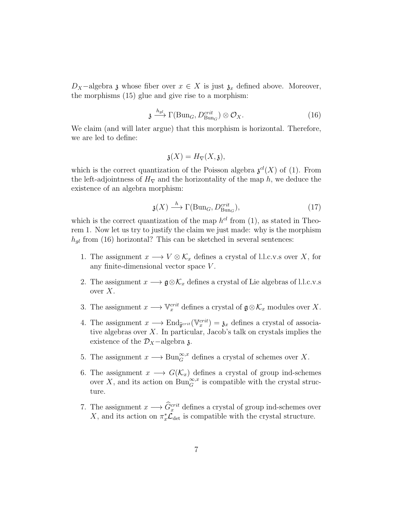$D_X$ -algebra  $\mathfrak z$  whose fiber over  $x \in X$  is just  $\mathfrak z_x$  defined above. Moreover, the morphisms (15) glue and give rise to a morphism:

$$
\mathfrak{z} \xrightarrow{h_{gl}} \Gamma(\text{Bun}_G, D_{\text{Bun}_G}^{crit}) \otimes \mathcal{O}_X. \tag{16}
$$

We claim (and will later argue) that this morphism is horizontal. Therefore, we are led to define:

$$
\mathfrak{z}(X) = H_{\nabla}(X, \mathfrak{z}),
$$

which is the correct quantization of the Poisson algebra  $\mathfrak{z}^{cl}(X)$  of (1). From the left-adjointness of  $H_{\nabla}$  and the horizontality of the map h, we deduce the existence of an algebra morphism:

$$
\mathfrak{z}(X) \xrightarrow{h} \Gamma(\text{Bun}_G, D_{\text{Bun}_G}^{crit}),\tag{17}
$$

which is the correct quantization of the map  $h^{cl}$  from (1), as stated in Theorem 1. Now let us try to justify the claim we just made: why is the morphism  $h_{ql}$  from (16) horizontal? This can be sketched in several sentences:

- 1. The assignment  $x \longrightarrow V \otimes \mathcal{K}_x$  defines a crystal of l.l.c.v.s over X, for any finite-dimensional vector space V .
- 2. The assignment  $x \longrightarrow \mathfrak{g} \otimes \mathcal{K}_x$  defines a crystal of Lie algebras of l.l.c.v.s over  $X$ .
- 3. The assignment  $x \longrightarrow \mathbb{V}_x^{crit}$  defines a crystal of  $\mathfrak{g} \otimes \mathcal{K}_x$  modules over X.
- 4. The assignment  $x \longrightarrow \text{End}_{\hat{\mathfrak{g}}^{crit}}(\mathbb{V}_x^{crit}) = \mathfrak{z}_x$  defines a crystal of associative algebras over  $X$ . In particular, Jacob's talk on crystals implies the existence of the  $\mathcal{D}_X$ −algebra z.
- 5. The assignment  $x \longrightarrow \text{Bun}_G^{\infty,x}$  defines a crystal of schemes over X.
- 6. The assignment  $x \longrightarrow G(\mathcal{K}_x)$  defines a crystal of group ind-schemes over X, and its action on  $\text{Bun}_G^{\infty,x}$  is compatible with the crystal structure.
- 7. The assignment  $x \longrightarrow \hat{G}_x^{crit}$  defines a crystal of group ind-schemes over X, and its action on  $\pi_x^* \mathcal{L}_{\text{det}}$  is compatible with the crystal structure.